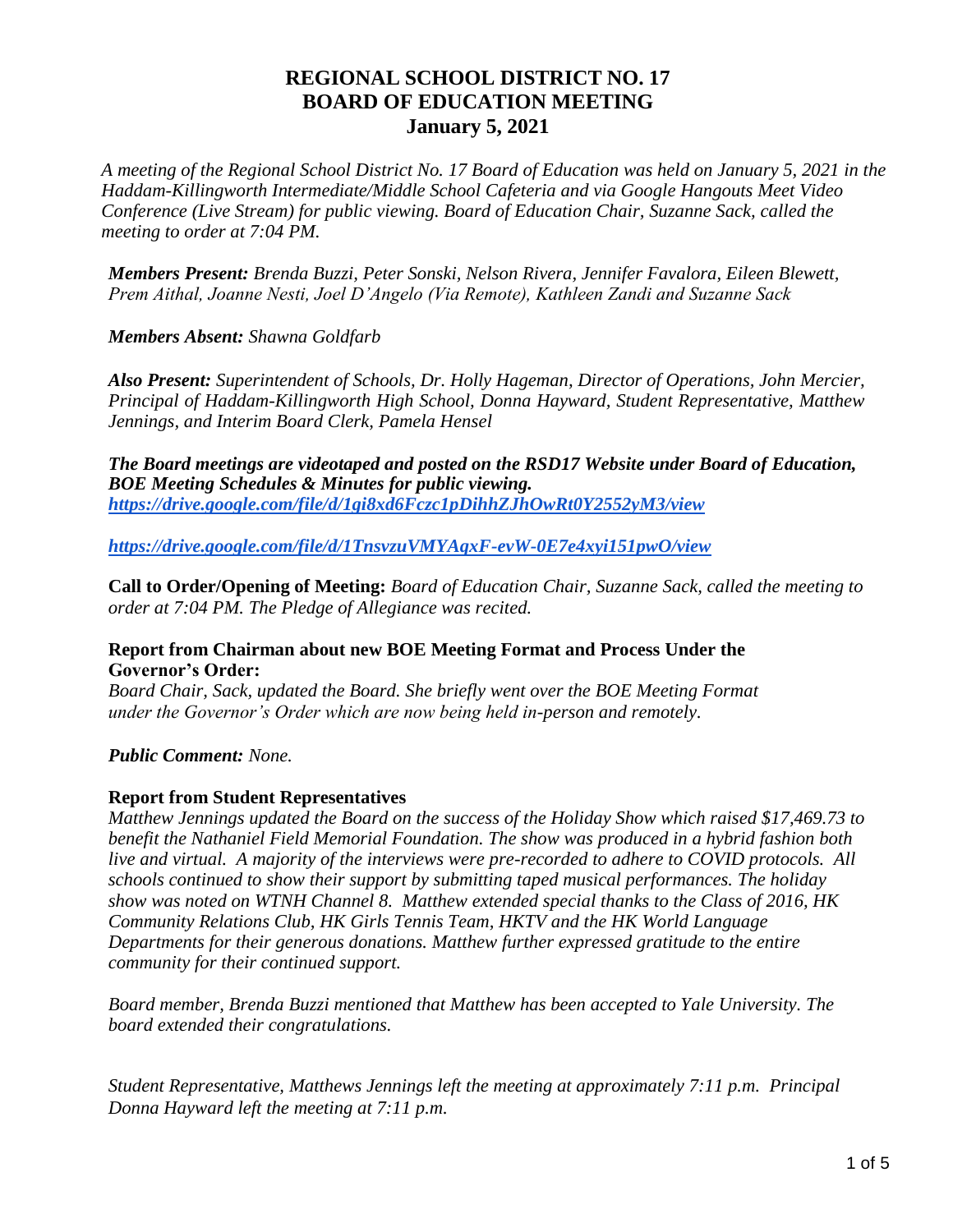# **REGIONAL SCHOOL DISTRICT NO. 17 BOARD OF EDUCATION MEETING January 5, 2021**

*A meeting of the Regional School District No. 17 Board of Education was held on January 5, 2021 in the Haddam-Killingworth Intermediate/Middle School Cafeteria and via Google Hangouts Meet Video Conference (Live Stream) for public viewing. Board of Education Chair, Suzanne Sack, called the meeting to order at 7:04 PM.* 

*Members Present: Brenda Buzzi, Peter Sonski, Nelson Rivera, Jennifer Favalora, Eileen Blewett, Prem Aithal, Joanne Nesti, Joel D'Angelo (Via Remote), Kathleen Zandi and Suzanne Sack* 

*Members Absent: Shawna Goldfarb*

*Also Present: Superintendent of Schools, Dr. Holly Hageman, Director of Operations, John Mercier, Principal of Haddam-Killingworth High School, Donna Hayward, Student Representative, Matthew Jennings, and Interim Board Clerk, Pamela Hensel* 

*The Board meetings are videotaped and posted on the RSD17 Website under Board of Education, BOE Meeting Schedules & Minutes for public viewing. <https://drive.google.com/file/d/1gi8xd6Fczc1pDihhZJhOwRt0Y2552yM3/view>*

*<https://drive.google.com/file/d/1TnsvzuVMYAqxF-evW-0E7e4xyi151pwO/view>*

**Call to Order/Opening of Meeting:** *Board of Education Chair, Suzanne Sack, called the meeting to order at 7:04 PM. The Pledge of Allegiance was recited.* 

### **Report from Chairman about new BOE Meeting Format and Process Under the Governor's Order:**

*Board Chair, Sack, updated the Board. She briefly went over the BOE Meeting Format under the Governor's Order which are now being held in-person and remotely.* 

*Public Comment: None.* 

### **Report from Student Representatives**

*Matthew Jennings updated the Board on the success of the Holiday Show which raised \$17,469.73 to benefit the Nathaniel Field Memorial Foundation. The show was produced in a hybrid fashion both live and virtual. A majority of the interviews were pre-recorded to adhere to COVID protocols. All schools continued to show their support by submitting taped musical performances. The holiday show was noted on WTNH Channel 8. Matthew extended special thanks to the Class of 2016, HK Community Relations Club, HK Girls Tennis Team, HKTV and the HK World Language Departments for their generous donations. Matthew further expressed gratitude to the entire community for their continued support.*

*Board member, Brenda Buzzi mentioned that Matthew has been accepted to Yale University. The board extended their congratulations.*

*Student Representative, Matthews Jennings left the meeting at approximately 7:11 p.m. Principal Donna Hayward left the meeting at 7:11 p.m.*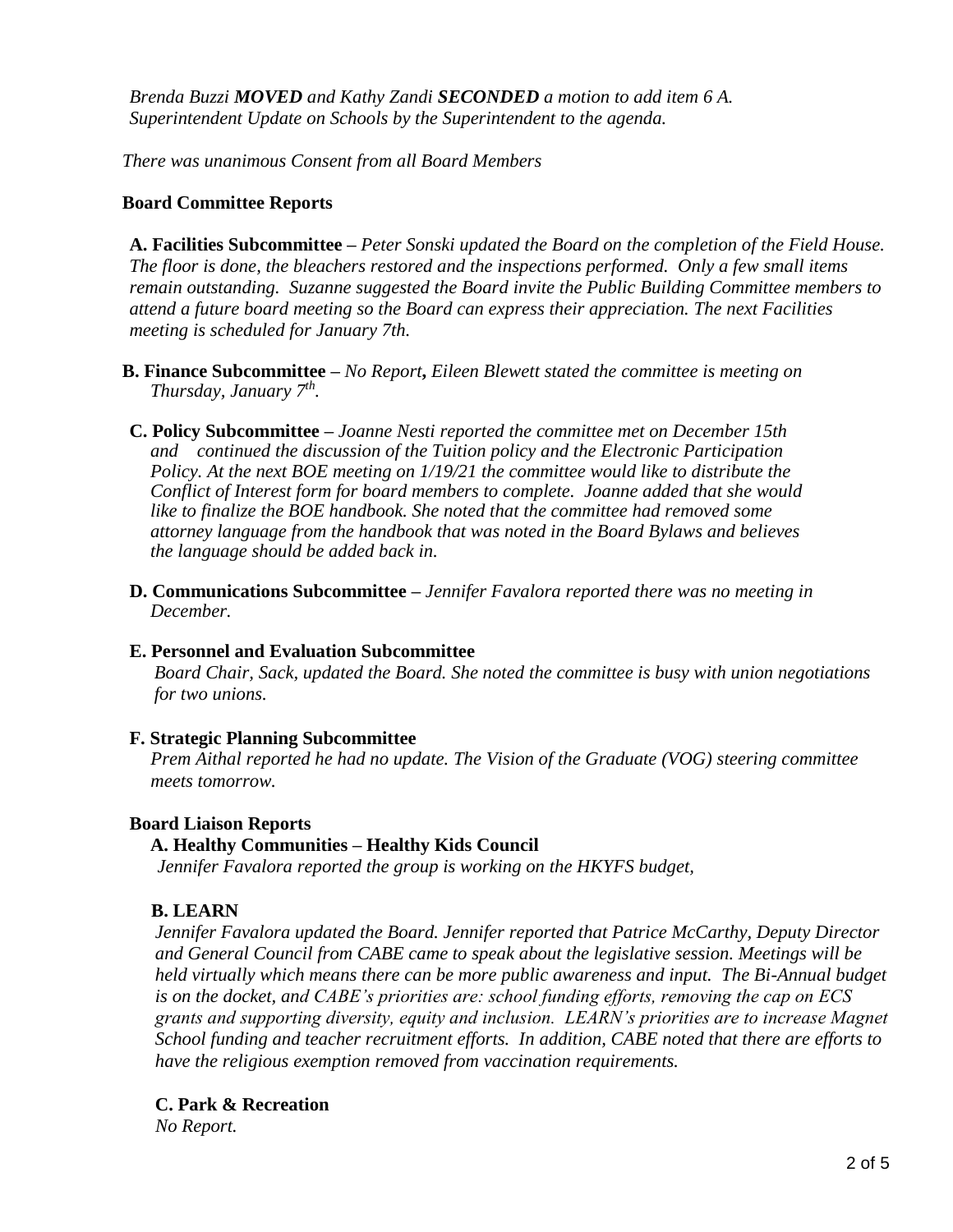*Brenda Buzzi MOVED and Kathy Zandi SECONDED a motion to add item 6 A. Superintendent Update on Schools by the Superintendent to the agenda.*

*There was unanimous Consent from all Board Members*

#### **Board Committee Reports**

**A. Facilities Subcommittee –** *Peter Sonski updated the Board on the completion of the Field House. The floor is done, the bleachers restored and the inspections performed. Only a few small items remain outstanding. Suzanne suggested the Board invite the Public Building Committee members to attend a future board meeting so the Board can express their appreciation. The next Facilities meeting is scheduled for January 7th.*

- **B. Finance Subcommittee –** *No Report***,** *Eileen Blewett stated the committee is meeting on Thursday, January 7th .*
- **C. Policy Subcommittee –** *Joanne Nesti reported the committee met on December 15th and continued the discussion of the Tuition policy and the Electronic Participation Policy. At the next BOE meeting on 1/19/21 the committee would like to distribute the Conflict of Interest form for board members to complete. Joanne added that she would like to finalize the BOE handbook. She noted that the committee had removed some attorney language from the handbook that was noted in the Board Bylaws and believes the language should be added back in.*
- **D. Communications Subcommittee –** *Jennifer Favalora reported there was no meeting in December.*

#### **E. Personnel and Evaluation Subcommittee**

*Board Chair, Sack, updated the Board. She noted the committee is busy with union negotiations for two unions.* 

#### **F. Strategic Planning Subcommittee**

*Prem Aithal reported he had no update. The Vision of the Graduate (VOG) steering committee meets tomorrow.*

#### **Board Liaison Reports**

### **A. Healthy Communities – Healthy Kids Council**

*Jennifer Favalora reported the group is working on the HKYFS budget,*

### **B. LEARN**

*Jennifer Favalora updated the Board. Jennifer reported that Patrice McCarthy, Deputy Director and General Council from CABE came to speak about the legislative session. Meetings will be held virtually which means there can be more public awareness and input. The Bi-Annual budget is on the docket, and CABE's priorities are: school funding efforts, removing the cap on ECS grants and supporting diversity, equity and inclusion. LEARN's priorities are to increase Magnet School funding and teacher recruitment efforts. In addition, CABE noted that there are efforts to have the religious exemption removed from vaccination requirements.*

**C. Park & Recreation** 

*No Report.*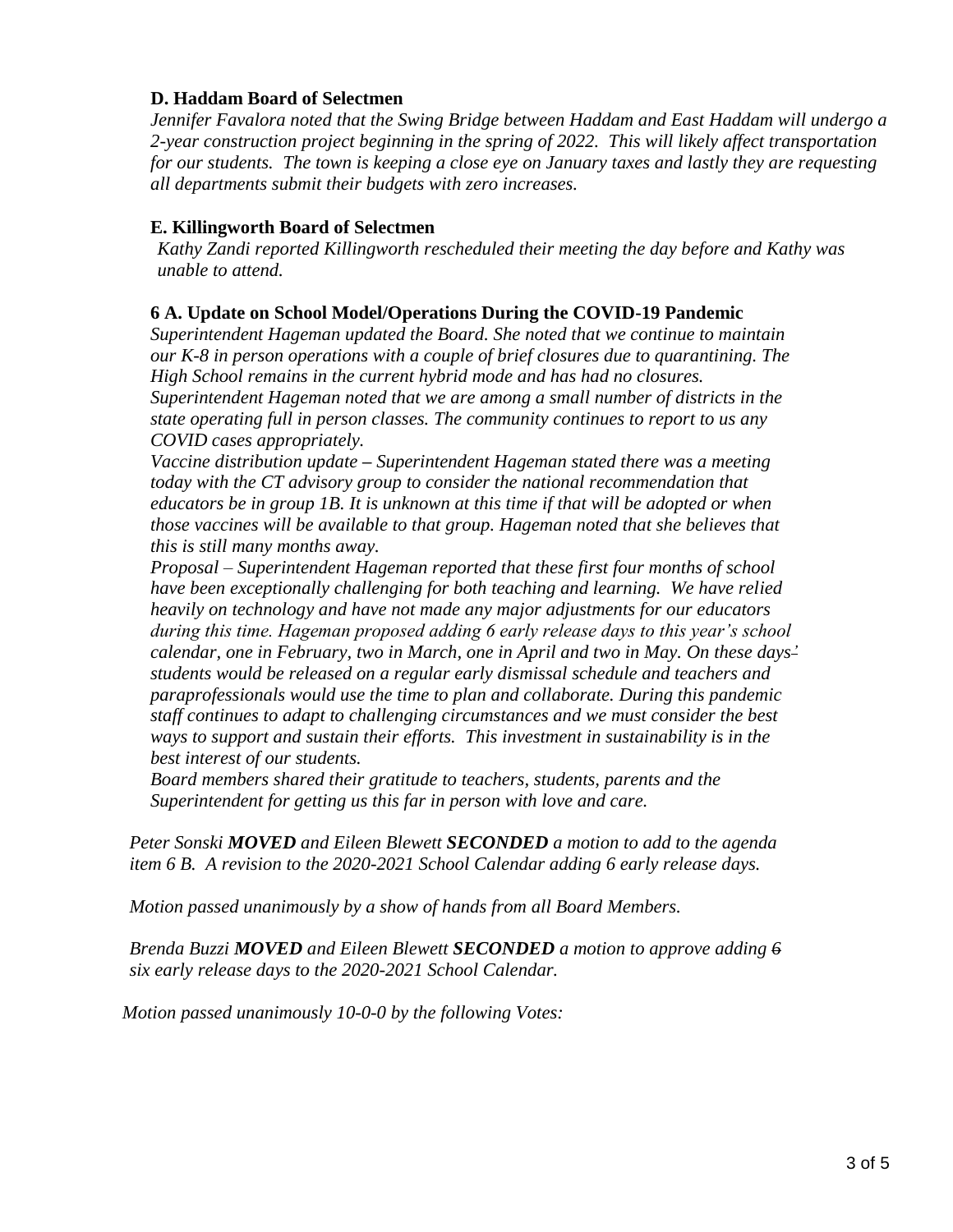## **D. Haddam Board of Selectmen**

*Jennifer Favalora noted that the Swing Bridge between Haddam and East Haddam will undergo a 2-year construction project beginning in the spring of 2022. This will likely affect transportation for our students. The town is keeping a close eye on January taxes and lastly they are requesting all departments submit their budgets with zero increases.*

## **E. Killingworth Board of Selectmen**

*Kathy Zandi reported Killingworth rescheduled their meeting the day before and Kathy was unable to attend.*

## **6 A. Update on School Model/Operations During the COVID-19 Pandemic**

*Superintendent Hageman updated the Board. She noted that we continue to maintain our K-8 in person operations with a couple of brief closures due to quarantining. The High School remains in the current hybrid mode and has had no closures. Superintendent Hageman noted that we are among a small number of districts in the state operating full in person classes. The community continues to report to us any COVID cases appropriately.*

*Vaccine distribution update* **–** *Superintendent Hageman stated there was a meeting today with the CT advisory group to consider the national recommendation that educators be in group 1B. It is unknown at this time if that will be adopted or when those vaccines will be available to that group. Hageman noted that she believes that this is still many months away.*

*Proposal – Superintendent Hageman reported that these first four months of school have been exceptionally challenging for both teaching and learning. We have relied heavily on technology and have not made any major adjustments for our educators during this time. Hageman proposed adding 6 early release days to this year's school calendar, one in February, two in March, one in April and two in May. On these days' students would be released on a regular early dismissal schedule and teachers and paraprofessionals would use the time to plan and collaborate. During this pandemic staff continues to adapt to challenging circumstances and we must consider the best ways to support and sustain their efforts. This investment in sustainability is in the best interest of our students.*

*Board members shared their gratitude to teachers, students, parents and the Superintendent for getting us this far in person with love and care.*

*Peter Sonski MOVED and Eileen Blewett SECONDED a motion to add to the agenda item 6 B. A revision to the 2020-2021 School Calendar adding 6 early release days.*

*Motion passed unanimously by a show of hands from all Board Members.*

*Brenda Buzzi MOVED and Eileen Blewett SECONDED a motion to approve adding 6 six early release days to the 2020-2021 School Calendar.*

*Motion passed unanimously 10-0-0 by the following Votes:*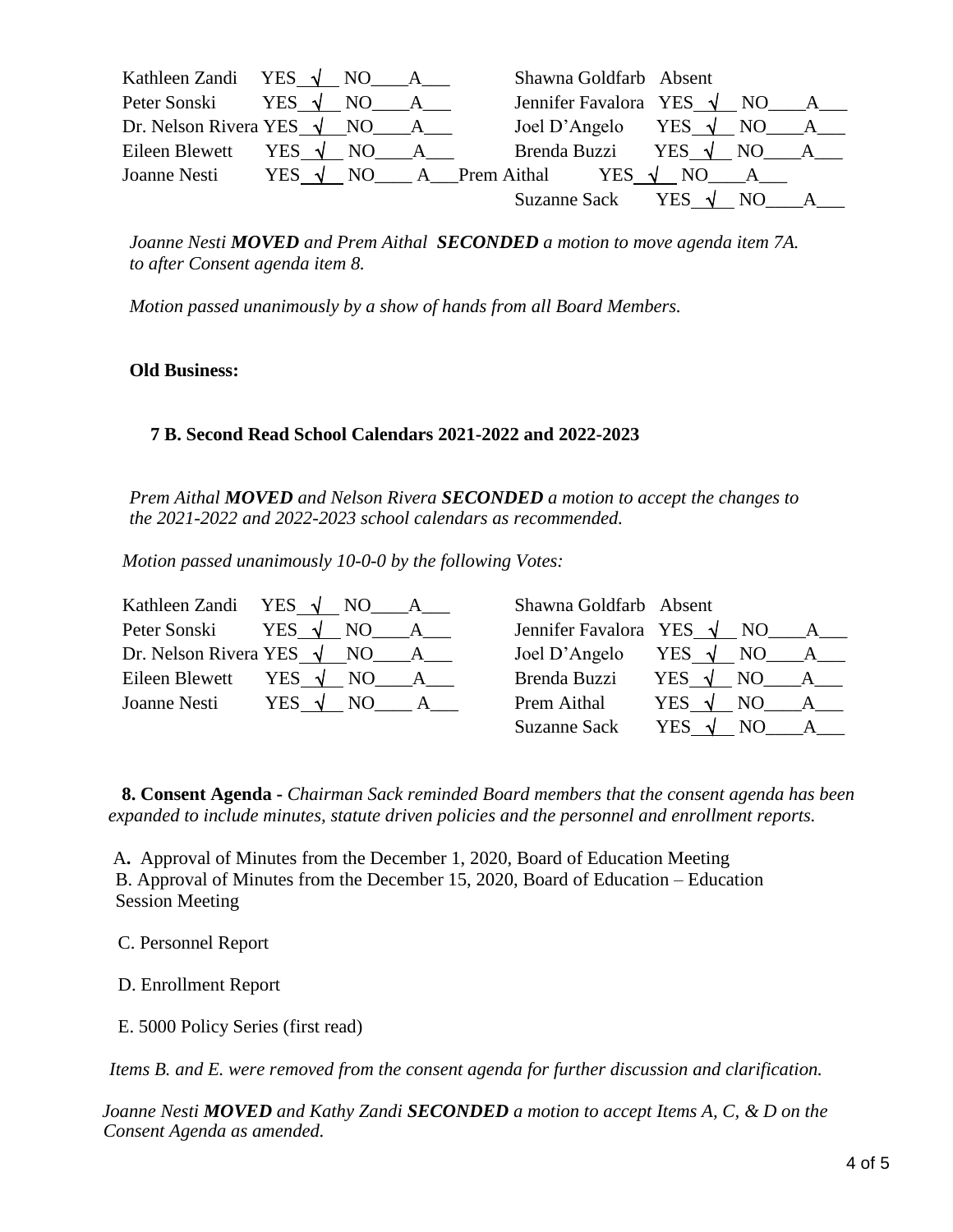| Kathleen Zandi YES $\sqrt{NO}$ A                |  | Shawna Goldfarb Absent                                         |  |  |
|-------------------------------------------------|--|----------------------------------------------------------------|--|--|
| Peter Sonski YES $\sqrt{NO}$ A                  |  | Jennifer Favalora YES $\sqrt{NO}$ A                            |  |  |
| Dr. Nelson Rivera YES $\sqrt{NO_{max} A_{max}}$ |  | Joel D'Angelo YES $\sqrt{NO_A}$ $A$                            |  |  |
| Eileen Blewett YES $\sqrt{NO}$ A                |  | Brenda Buzzi YES $\sqrt{NO}$ A                                 |  |  |
|                                                 |  | Joanne Nesti YES $\sqrt{NO}$ A Prem Aithal YES $\sqrt{NO}$ A R |  |  |
|                                                 |  | Suzanne Sack YES $\sqrt{NO A}$                                 |  |  |

*Joanne Nesti MOVED and Prem Aithal SECONDED a motion to move agenda item 7A. to after Consent agenda item 8.*

*Motion passed unanimously by a show of hands from all Board Members.*

#### **Old Business:**

### **7 B. Second Read School Calendars 2021-2022 and 2022-2023**

*Prem Aithal MOVED and Nelson Rivera SECONDED a motion to accept the changes to the 2021-2022 and 2022-2023 school calendars as recommended.*

*Motion passed unanimously 10-0-0 by the following Votes:* 

| Kathleen Zandi YES $\sqrt{NO}$ A      | Shawna Goldfarb Absent |                                       |
|---------------------------------------|------------------------|---------------------------------------|
| Peter Sonski YES $\sqrt{NO}$ A        |                        | Jennifer Favalora YES $\sqrt{NO_A_A}$ |
| Dr. Nelson Rivera YES $\sqrt{NO_A}$ A |                        | Joel D'Angelo YES $\sqrt{NO_A_A}$     |
| Eileen Blewett YES $\sqrt{NO}$ A      |                        | Brenda Buzzi YES $\sqrt{NO}$ A        |
| Joanne Nesti YES $\sqrt{NO}$ A        | <b>Prem Aithal</b>     | YES $\sqrt{NO A_{\_\_\_A}}$           |
|                                       |                        | Suzanne Sack YES $\sqrt{NO}$ A        |

**8. Consent Agenda -** *Chairman Sack reminded Board members that the consent agenda has been expanded to include minutes, statute driven policies and the personnel and enrollment reports.*

A**.** Approval of Minutes from the December 1, 2020, Board of Education Meeting B. Approval of Minutes from the December 15, 2020, Board of Education – Education Session Meeting

C. Personnel Report

D. Enrollment Report

E. 5000 Policy Series (first read)

*Items B. and E. were removed from the consent agenda for further discussion and clarification.*

*Joanne Nesti MOVED and Kathy Zandi SECONDED a motion to accept Items A, C, & D on the Consent Agenda as amended.*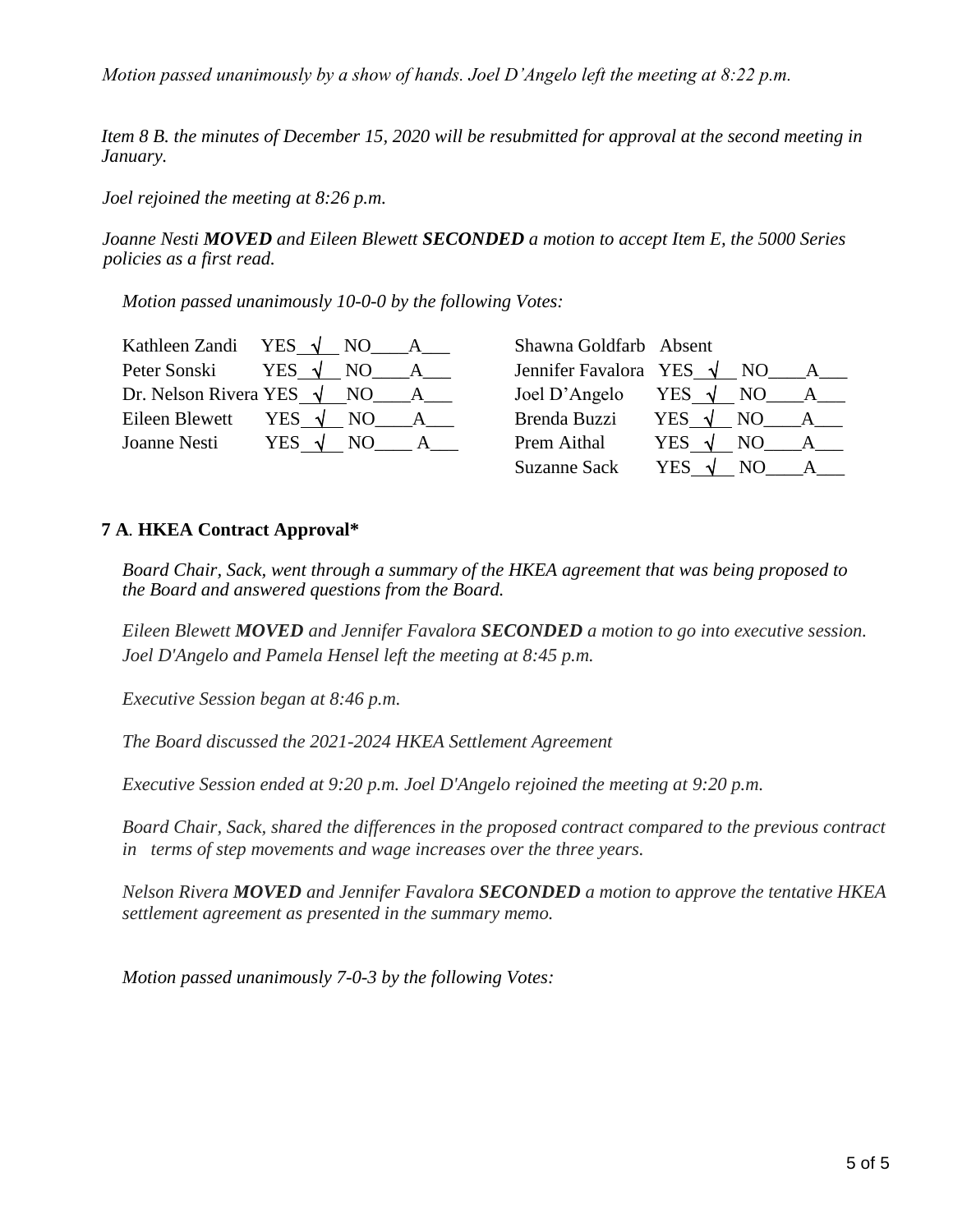*Motion passed unanimously by a show of hands. Joel D'Angelo left the meeting at 8:22 p.m.*

*Item 8 B. the minutes of December 15, 2020 will be resubmitted for approval at the second meeting in January.*

*Joel rejoined the meeting at 8:26 p.m.*

*Joanne Nesti MOVED and Eileen Blewett SECONDED a motion to accept Item E, the 5000 Series policies as a first read.* 

*Motion passed unanimously 10-0-0 by the following Votes:* 

| Kathleen Zandi YES $\sqrt{NQ}$ A      | Shawna Goldfarb Absent |                                     |
|---------------------------------------|------------------------|-------------------------------------|
| Peter Sonski YES $\sqrt{NO}$ A        |                        | Jennifer Favalora YES $\sqrt{NO}$ A |
| Dr. Nelson Rivera YES $\sqrt{NO_A}$ A |                        | Joel D'Angelo YES $\sqrt{NO_A}$ A   |
| Eileen Blewett YES $\sqrt{NO A}$ A    |                        | Brenda Buzzi YES $\sqrt{NO}$ A      |
| Joanne Nesti YES $\sqrt{NO}$ A        | <b>Prem Aithal</b>     | YES $\sqrt{NO}$ A                   |
|                                       | Suzanne Sack           | YES $\sqrt{NO}$ A                   |

## **7 A***.* **HKEA Contract Approval\***

*Board Chair, Sack, went through a summary of the HKEA agreement that was being proposed to the Board and answered questions from the Board.* 

*Eileen Blewett MOVED and Jennifer Favalora SECONDED a motion to go into executive session. Joel D'Angelo and Pamela Hensel left the meeting at 8:45 p.m.* 

*Executive Session began at 8:46 p.m.*

*The Board discussed the 2021-2024 HKEA Settlement Agreement*

*Executive Session ended at 9:20 p.m. Joel D'Angelo rejoined the meeting at 9:20 p.m.* 

*Board Chair, Sack, shared the differences in the proposed contract compared to the previous contract in terms of step movements and wage increases over the three years.*

*Nelson Rivera MOVED and Jennifer Favalora SECONDED a motion to approve the tentative HKEA settlement agreement as presented in the summary memo.* 

*Motion passed unanimously 7-0-3 by the following Votes:*